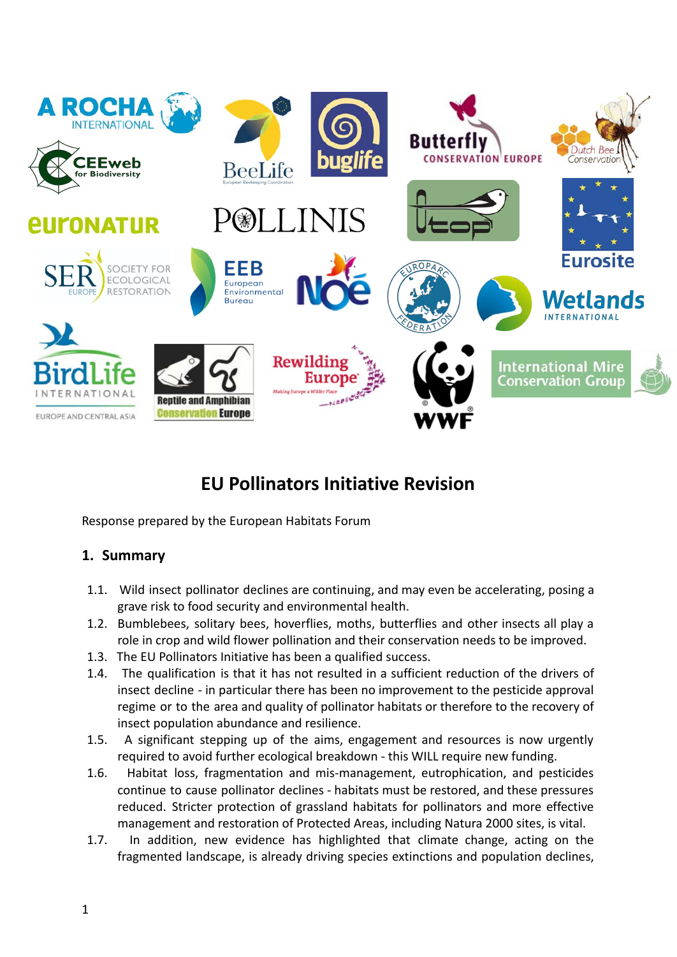

# **EU Pollinators Initiative Revision**

Response prepared by the European Habitats Forum

## **1. Summary**

- 1.1. Wild insect pollinator declines are continuing, and may even be accelerating, posing a grave risk to food security and environmental health.
- 1.2. Bumblebees, solitary bees, hoverflies, moths, butterflies and other insects all play a role in crop and wild flower pollination and their conservation needs to be improved.
- 1.3. The EU Pollinators Initiative has been a qualified success.
- 1.4. The qualification is that it has not resulted in a sufficient reduction of the drivers of insect decline - in particular there has been no improvement to the pesticide approval regime or to the area and quality of pollinator habitats or therefore to the recovery of insect population abundance and resilience.
- 1.5. A significant stepping up of the aims, engagement and resources is now urgently required to avoid further ecological breakdown - this WILL require new funding.
- 1.6. Habitat loss, fragmentation and mis-management, eutrophication, and pesticides continue to cause pollinator declines - habitats must be restored, and these pressures reduced. Stricter protection of grassland habitats for pollinators and more effective management and restoration of Protected Areas, including Natura 2000 sites, is vital.
- 1.7. In addition, new evidence has highlighted that climate change, acting on the fragmented landscape, is already driving species extinctions and population declines,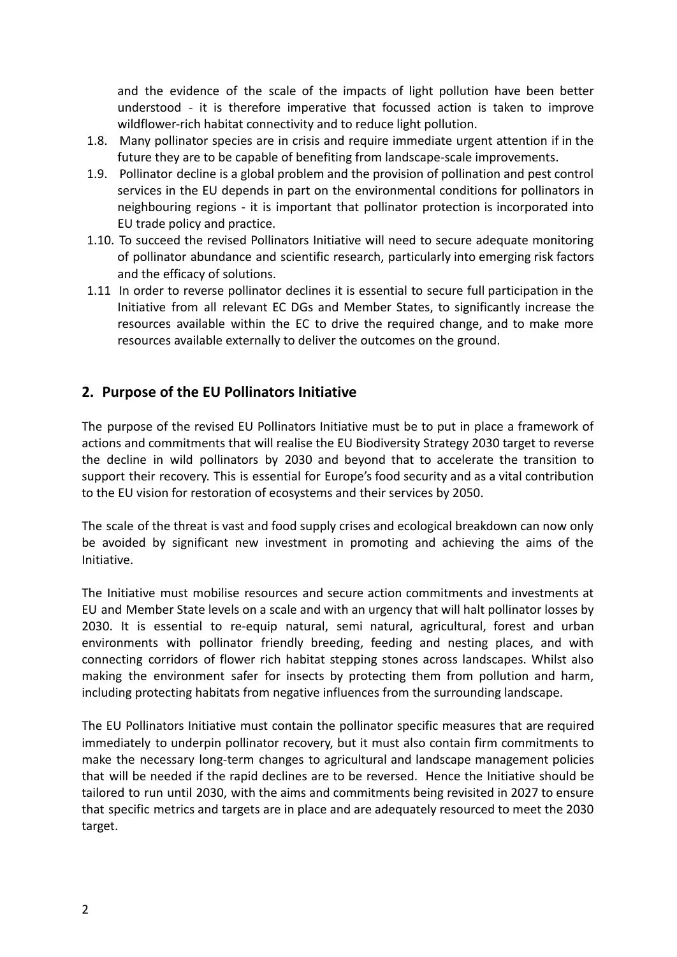and the evidence of the scale of the impacts of light pollution have been better understood - it is therefore imperative that focussed action is taken to improve wildflower-rich habitat connectivity and to reduce light pollution.

- 1.8. Many pollinator species are in crisis and require immediate urgent attention if in the future they are to be capable of benefiting from landscape-scale improvements.
- 1.9. Pollinator decline is a global problem and the provision of pollination and pest control services in the EU depends in part on the environmental conditions for pollinators in neighbouring regions - it is important that pollinator protection is incorporated into EU trade policy and practice.
- 1.10. To succeed the revised Pollinators Initiative will need to secure adequate monitoring of pollinator abundance and scientific research, particularly into emerging risk factors and the efficacy of solutions.
- 1.11 In order to reverse pollinator declines it is essential to secure full participation in the Initiative from all relevant EC DGs and Member States, to significantly increase the resources available within the EC to drive the required change, and to make more resources available externally to deliver the outcomes on the ground.

### **2. Purpose of the EU Pollinators Initiative**

The purpose of the revised EU Pollinators Initiative must be to put in place a framework of actions and commitments that will realise the EU Biodiversity Strategy 2030 target to reverse the decline in wild pollinators by 2030 and beyond that to accelerate the transition to support their recovery. This is essential for Europe's food security and as a vital contribution to the EU vision for restoration of ecosystems and their services by 2050.

The scale of the threat is vast and food supply crises and ecological breakdown can now only be avoided by significant new investment in promoting and achieving the aims of the Initiative.

The Initiative must mobilise resources and secure action commitments and investments at EU and Member State levels on a scale and with an urgency that will halt pollinator losses by 2030. It is essential to re-equip natural, semi natural, agricultural, forest and urban environments with pollinator friendly breeding, feeding and nesting places, and with connecting corridors of flower rich habitat stepping stones across landscapes. Whilst also making the environment safer for insects by protecting them from pollution and harm, including protecting habitats from negative influences from the surrounding landscape.

The EU Pollinators Initiative must contain the pollinator specific measures that are required immediately to underpin pollinator recovery, but it must also contain firm commitments to make the necessary long-term changes to agricultural and landscape management policies that will be needed if the rapid declines are to be reversed. Hence the Initiative should be tailored to run until 2030, with the aims and commitments being revisited in 2027 to ensure that specific metrics and targets are in place and are adequately resourced to meet the 2030 target.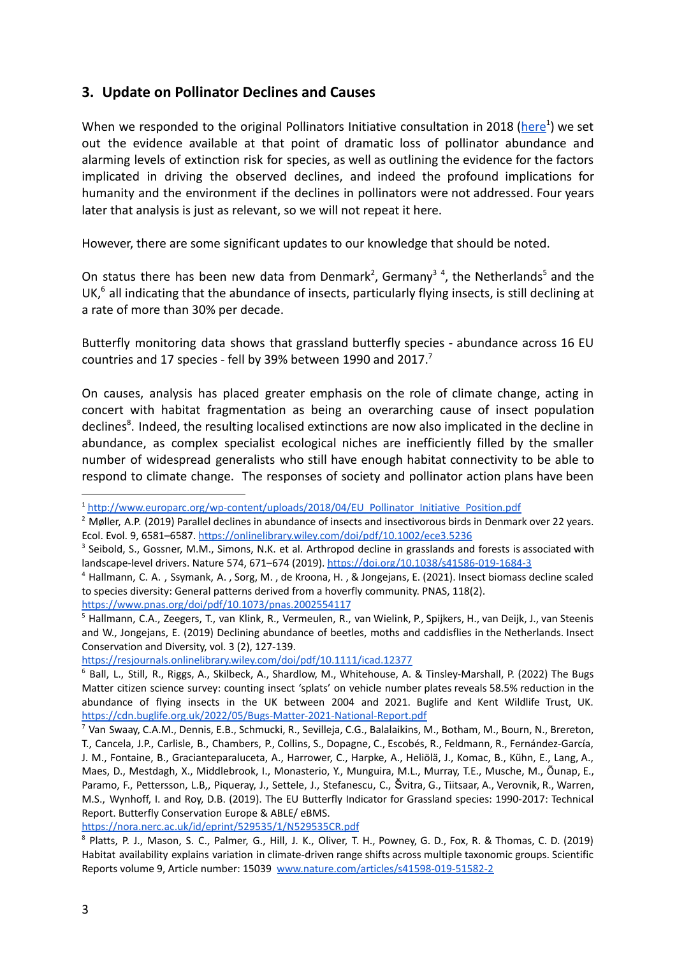### **3. Update on Pollinator Declines and Causes**

When we responded to the original Pollinators Initiative consultation in 2018 ([here](http://www.europarc.org/wp-content/uploads/2018/04/EU_Pollinator_Initiative_Position.pdf)<sup>1</sup>) we set out the evidence available at that point of dramatic loss of pollinator abundance and alarming levels of extinction risk for species, as well as outlining the evidence for the factors implicated in driving the observed declines, and indeed the profound implications for humanity and the environment if the declines in pollinators were not addressed. Four years later that analysis is just as relevant, so we will not repeat it here.

However, there are some significant updates to our knowledge that should be noted.

On status there has been new data from Denmark<sup>2</sup>, Germany<sup>34</sup>, the Netherlands<sup>5</sup> and the UK,<sup>6</sup> all indicating that the abundance of insects, particularly flying insects, is still declining at a rate of more than 30% per decade.

Butterfly monitoring data shows that grassland butterfly species - abundance across 16 EU countries and 17 species - fell by 39% between 1990 and 2017.<sup>7</sup>

On causes, analysis has placed greater emphasis on the role of climate change, acting in concert with habitat fragmentation as being an overarching cause of insect population declines<sup>8</sup>. Indeed, the resulting localised extinctions are now also implicated in the decline in abundance, as complex specialist ecological niches are inefficiently filled by the smaller number of widespread generalists who still have enough habitat connectivity to be able to respond to climate change. The responses of society and pollinator action plans have been

<https://resjournals.onlinelibrary.wiley.com/doi/pdf/10.1111/icad.12377>

<https://nora.nerc.ac.uk/id/eprint/529535/1/N529535CR.pdf>

<sup>1</sup> [http://www.europarc.org/wp-content/uploads/2018/04/EU\\_Pollinator\\_Initiative\\_Position.pdf](http://www.europarc.org/wp-content/uploads/2018/04/EU_Pollinator_Initiative_Position.pdf)

<sup>&</sup>lt;sup>2</sup> Møller, A.P. (2019) Parallel declines in abundance of insects and insectivorous birds in Denmark over 22 years. Ecol. Evol. 9, 6581–6587. <https://onlinelibrary.wiley.com/doi/pdf/10.1002/ece3.5236>

<sup>&</sup>lt;sup>3</sup> Seibold, S., Gossner, M.M., Simons, N.K. et al. Arthropod decline in grasslands and forests is associated with landscape-level drivers. Nature 574, 671–674 (2019). <https://doi.org/10.1038/s41586-019-1684-3>

<sup>4</sup> Hallmann, C. A. , Ssymank, A. , Sorg, M. , de Kroona, H. , & Jongejans, E. (2021). Insect biomass decline scaled to species diversity: General patterns derived from a hoverfly community. PNAS, 118(2). <https://www.pnas.org/doi/pdf/10.1073/pnas.2002554117>

<sup>&</sup>lt;sup>5</sup> Hallmann, C.A., Zeegers, T., van Klink, R., Vermeulen, R., van Wielink, P., Spijkers, H., van Deijk, J., van Steenis and W., Jongejans, E. (2019) Declining abundance of beetles, moths and caddisflies in the Netherlands. Insect Conservation and Diversity, vol. 3 (2), 127-139.

<sup>6</sup> Ball, L., Still, R., Riggs, A., Skilbeck, A., Shardlow, M., Whitehouse, A. & Tinsley-Marshall, P. (2022) The Bugs Matter citizen science survey: counting insect 'splats' on vehicle number plates reveals 58.5% reduction in the abundance of flying insects in the UK between 2004 and 2021. Buglife and Kent Wildlife Trust, UK. <https://cdn.buglife.org.uk/2022/05/Bugs-Matter-2021-National-Report.pdf>

<sup>7</sup> Van Swaay, C.A.M., Dennis, E.B., Schmucki, R., Sevilleja, C.G., Balalaikins, M., Botham, M., Bourn, N., Brereton, T., Cancela, J.P., Carlisle, B., Chambers, P., Collins, S., Dopagne, C., Escobés, R., Feldmann, R., Fernández-García, J. M., Fontaine, B., Gracianteparaluceta, A., Harrower, C., Harpke, A., Heliölä, J., Komac, B., Kühn, E., Lang, A., Maes, D., Mestdagh, X., Middlebrook, I., Monasterio, Y., Munguira, M.L., Murray, T.E., Musche, M., Õunap, E., Paramo, F., Pettersson, L.B,, Piqueray, J., Settele, J., Stefanescu, C., Švitra, G., Tiitsaar, A., Verovnik, R., Warren, M.S., Wynhoff, I. and Roy, D.B. (2019). The EU Butterfly Indicator for Grassland species: 1990-2017: Technical Report. Butterfly Conservation Europe & ABLE/ eBMS.

<sup>8</sup> Platts, P. J., Mason, S. C., Palmer, G., Hill, J. K., Oliver, T. H., Powney, G. D., Fox, R. & Thomas, C. D. (2019) Habitat availability explains variation in climate-driven range shifts across multiple taxonomic groups. Scientific Reports volume 9, Article number: 15039 [www.nature.com/articles/s41598-019-51582-2](http://www.nature.com/articles/s41598-019-51582-2)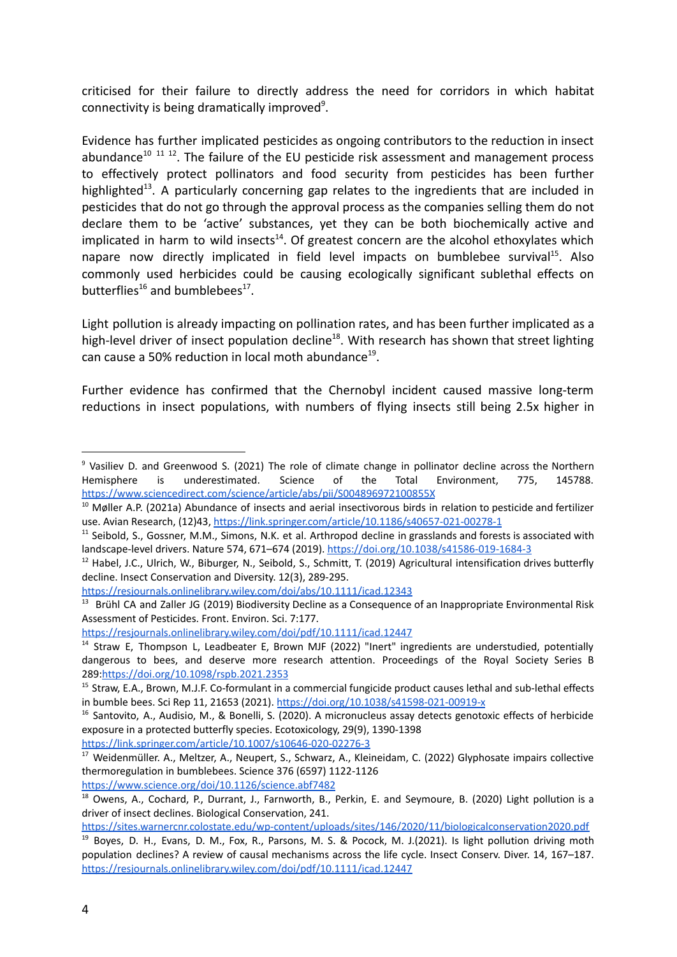criticised for their failure to directly address the need for corridors in which habitat connectivity is being dramatically improved<sup>9</sup>.

Evidence has further implicated pesticides as ongoing contributors to the reduction in insect abundance<sup>10 11 12</sup>. The failure of the EU pesticide risk assessment and management process to effectively protect pollinators and food security from pesticides has been further highlighted<sup>13</sup>. A particularly concerning gap relates to the ingredients that are included in pesticides that do not go through the approval process as the companies selling them do not declare them to be 'active' substances, yet they can be both biochemically active and implicated in harm to wild insects<sup>14</sup>. Of greatest concern are the alcohol ethoxylates which napare now directly implicated in field level impacts on bumblebee survival<sup>15</sup>. Also commonly used herbicides could be causing ecologically significant sublethal effects on butterflies<sup>16</sup> and bumblebees<sup>17</sup>.

Light pollution is already impacting on pollination rates, and has been further implicated as a high-level driver of insect population decline<sup>18</sup>. With research has shown that street lighting can cause a 50% reduction in local moth abundance $^{19}$ .

Further evidence has confirmed that the Chernobyl incident caused massive long-term reductions in insect populations, with numbers of flying insects still being 2.5x higher in

<https://link.springer.com/article/10.1007/s10646-020-02276-3>

<sup>17</sup> Weidenmüller. A., Meltzer, A., Neupert, S., Schwarz, A., Kleineidam, C. (2022) Glyphosate impairs collective thermoregulation in bumblebees. Science 376 (6597) 1122-1126 <https://www.science.org/doi/10.1126/science.abf7482>

<https://sites.warnercnr.colostate.edu/wp-content/uploads/sites/146/2020/11/biologicalconservation2020.pdf>

<sup>&</sup>lt;sup>9</sup> Vasiliev D. and Greenwood S. (2021) The role of climate change in pollinator decline across the Northern Hemisphere is underestimated. Science of the Total Environment, 775, 145788. <https://www.sciencedirect.com/science/article/abs/pii/S004896972100855X>

 $10$  Møller A.P. (2021a) Abundance of insects and aerial insectivorous birds in relation to pesticide and fertilizer use. Avian Research, (12)43, <https://link.springer.com/article/10.1186/s40657-021-00278-1>

 $11$  Seibold, S., Gossner, M.M., Simons, N.K. et al. Arthropod decline in grasslands and forests is associated with landscape-level drivers. Nature 574, 671–674 (2019). <https://doi.org/10.1038/s41586-019-1684-3>

 $12$  Habel, J.C., Ulrich, W., Biburger, N., Seibold, S., Schmitt, T. (2019) Agricultural intensification drives butterfly decline. Insect Conservation and Diversity. 12(3), 289-295.

<https://resjournals.onlinelibrary.wiley.com/doi/abs/10.1111/icad.12343>

<sup>&</sup>lt;sup>13</sup> Brühl CA and Zaller JG (2019) Biodiversity Decline as a Consequence of an Inappropriate Environmental Risk Assessment of Pesticides. Front. Environ. Sci. 7:177.

<https://resjournals.onlinelibrary.wiley.com/doi/pdf/10.1111/icad.12447>

<sup>&</sup>lt;sup>14</sup> Straw E, Thompson L, Leadbeater E, Brown MJF (2022) "Inert" ingredients are understudied, potentially dangerous to bees, and deserve more research attention. Proceedings of the Royal Society Series B 289:<https://doi.org/10.1098/rspb.2021.2353>

<sup>&</sup>lt;sup>15</sup> Straw, E.A., Brown, M.J.F. Co-formulant in a commercial fungicide product causes lethal and sub-lethal effects in bumble bees. Sci Rep 11, 21653 (2021). <https://doi.org/10.1038/s41598-021-00919-x>

<sup>&</sup>lt;sup>16</sup> Santovito, A., Audisio, M., & Bonelli, S. (2020). A micronucleus assay detects genotoxic effects of herbicide exposure in a protected butterfly species. Ecotoxicology, 29(9), 1390-1398

<sup>&</sup>lt;sup>18</sup> Owens, A., Cochard, P., Durrant, J., Farnworth, B., Perkin, E. and Seymoure, B. (2020) Light pollution is a driver of insect declines. Biological Conservation, 241.

<sup>&</sup>lt;sup>19</sup> Boyes, D. H., Evans, D. M., Fox, R., Parsons, M. S. & Pocock, M. J.(2021). Is light pollution driving moth population declines? A review of causal mechanisms across the life cycle. Insect Conserv. Diver. 14, 167–187. <https://resjournals.onlinelibrary.wiley.com/doi/pdf/10.1111/icad.12447>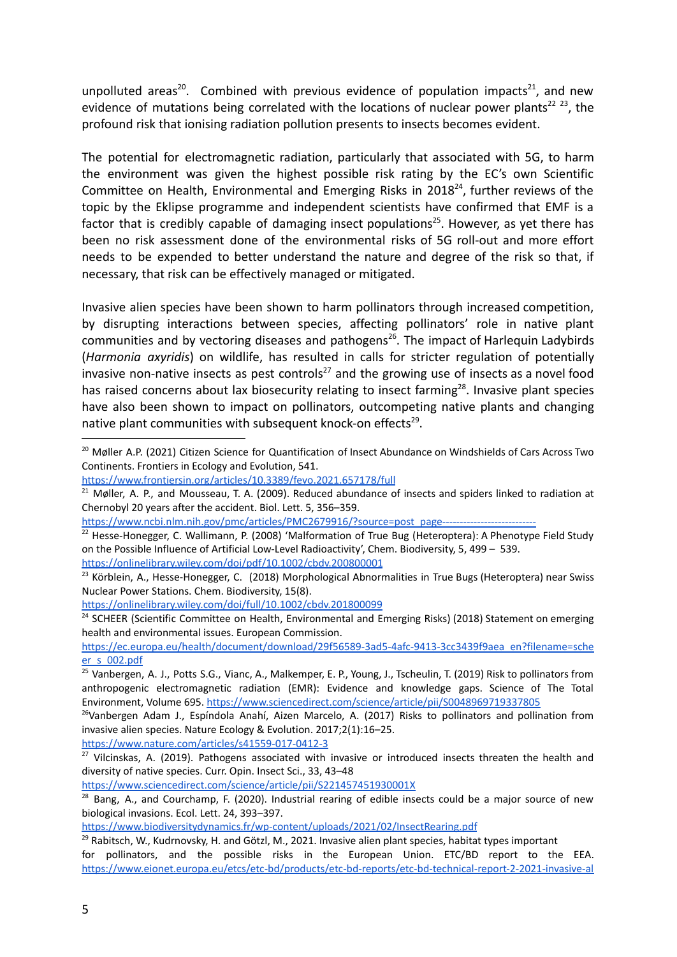unpolluted areas<sup>20</sup>. Combined with previous evidence of population impacts<sup>21</sup>, and new evidence of mutations being correlated with the locations of nuclear power plants<sup>22</sup>  $23$ , the profound risk that ionising radiation pollution presents to insects becomes evident.

The potential for electromagnetic radiation, particularly that associated with 5G, to harm the environment was given the highest possible risk rating by the EC's own Scientific Committee on Health, Environmental and Emerging Risks in  $2018<sup>24</sup>$ , further reviews of the topic by the Eklipse programme and independent scientists have confirmed that EMF is a factor that is credibly capable of damaging insect populations<sup>25</sup>. However, as yet there has been no risk assessment done of the environmental risks of 5G roll-out and more effort needs to be expended to better understand the nature and degree of the risk so that, if necessary, that risk can be effectively managed or mitigated.

Invasive alien species have been shown to harm pollinators through increased competition, by disrupting interactions between species, affecting pollinators' role in native plant communities and by vectoring diseases and pathogens<sup>26</sup>. The impact of Harlequin Ladybirds (*Harmonia axyridis*) on wildlife, has resulted in calls for stricter regulation of potentially invasive non-native insects as pest controls<sup>27</sup> and the growing use of insects as a novel food has raised concerns about lax biosecurity relating to insect farming<sup>28</sup>. Invasive plant species have also been shown to impact on pollinators, outcompeting native plants and changing native plant communities with subsequent knock-on effects<sup>29</sup>.

<https://onlinelibrary.wiley.com/doi/full/10.1002/cbdv.201800099>

<sup>24</sup> SCHEER (Scientific Committee on Health, Environmental and Emerging Risks) (2018) Statement on emerging health and environmental issues. European Commission.

[https://ec.europa.eu/health/document/download/29f56589-3ad5-4afc-9413-3cc3439f9aea\\_en?filename=sche](https://ec.europa.eu/health/document/download/29f56589-3ad5-4afc-9413-3cc3439f9aea_en?filename=scheer_s_002.pdf) [er\\_s\\_002.pdf](https://ec.europa.eu/health/document/download/29f56589-3ad5-4afc-9413-3cc3439f9aea_en?filename=scheer_s_002.pdf)

<https://www.nature.com/articles/s41559-017-0412-3>

<https://www.sciencedirect.com/science/article/pii/S221457451930001X>

<sup>&</sup>lt;sup>20</sup> Møller A.P. (2021) Citizen Science for Quantification of Insect Abundance on Windshields of Cars Across Two Continents. Frontiers in Ecology and Evolution, 541.

<https://www.frontiersin.org/articles/10.3389/fevo.2021.657178/full>

<sup>&</sup>lt;sup>21</sup> Møller, A. P., and Mousseau, T. A. (2009). Reduced abundance of insects and spiders linked to radiation at Chernobyl 20 years after the accident. Biol. Lett. 5, 356–359.

https://www.ncbi.nlm.nih.gov/pmc/articles/PMC2679916/?source=post\_page----

<sup>&</sup>lt;sup>22</sup> Hesse-Honegger, C. Wallimann, P. (2008) 'Malformation of True Bug (Heteroptera): A Phenotype Field Study on the Possible Influence of Artificial Low-Level Radioactivity', Chem. Biodiversity, 5, 499 – 539. <https://onlinelibrary.wiley.com/doi/pdf/10.1002/cbdv.200800001>

<sup>&</sup>lt;sup>23</sup> Körblein, A., Hesse-Honegger, C. (2018) Morphological Abnormalities in True Bugs (Heteroptera) near Swiss Nuclear Power Stations. Chem. Biodiversity, 15(8).

<sup>&</sup>lt;sup>25</sup> Vanbergen, A. J., Potts S.G., Vianc, A., Malkemper, E. P., Young, J., Tscheulin, T. (2019) Risk to pollinators from anthropogenic electromagnetic radiation (EMR): Evidence and knowledge gaps. Science of The Total Environment, Volume 695. <https://www.sciencedirect.com/science/article/pii/S0048969719337805>

 $26$ Vanbergen Adam J., Espíndola Anahí, Aizen Marcelo, A. (2017) Risks to pollinators and pollination from invasive alien species. Nature Ecology & Evolution. 2017;2(1):16–25.

<sup>&</sup>lt;sup>27</sup> Vilcinskas, A. (2019). Pathogens associated with invasive or introduced insects threaten the health and diversity of native species. Curr. Opin. Insect Sci., 33, 43–48

 $28$  Bang, A., and Courchamp, F. (2020). Industrial rearing of edible insects could be a major source of new biological invasions. Ecol. Lett. 24, 393–397.

<https://www.biodiversitydynamics.fr/wp-content/uploads/2021/02/InsectRearing.pdf>

 $^{29}$  Rabitsch, W., Kudrnovsky, H. and Götzl, M., 2021. Invasive alien plant species, habitat types important for pollinators, and the possible risks in the European Union. ETC/BD report to the EEA. [https://www.eionet.europa.eu/etcs/etc-bd/products/etc-bd-reports/etc-bd-technical-report-2-2021-invasive-al](https://www.eionet.europa.eu/etcs/etc-bd/products/etc-bd-reports/etc-bd-technical-report-2-2021-invasive-alien-plant-species-habitat-types-important-for-pollinators-and-the-possible-risks-in-the-european-union/@@download/file/Report_on_IAS_pollinators.pdf)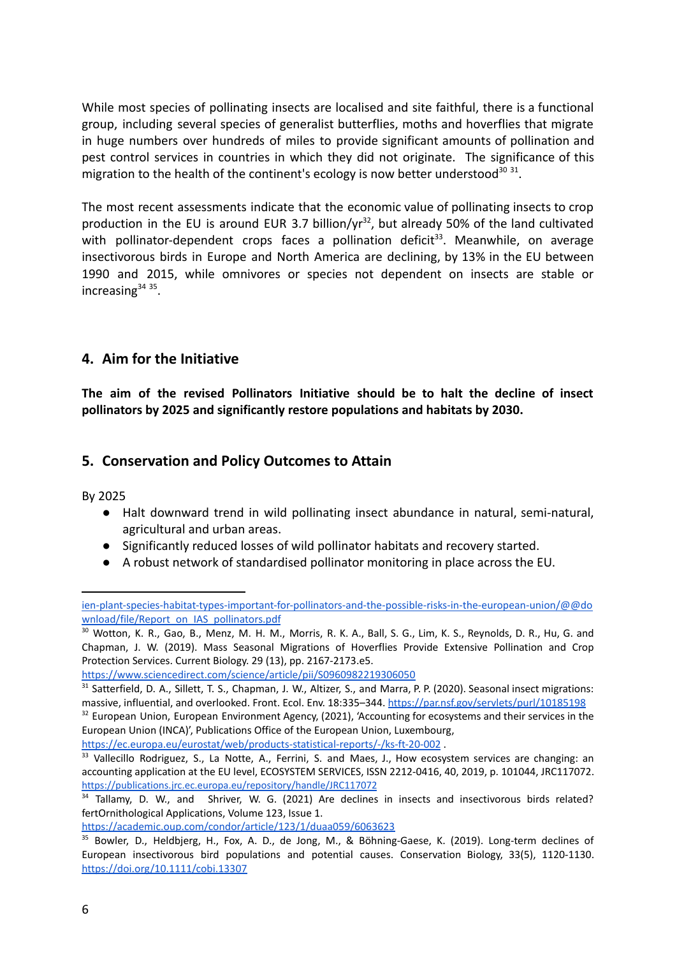While most species of pollinating insects are localised and site faithful, there is a functional group, including several species of generalist butterflies, moths and hoverflies that migrate in huge numbers over hundreds of miles to provide significant amounts of pollination and pest control services in countries in which they did not originate. The significance of this migration to the health of the continent's ecology is now better understood<sup>30</sup> <sup>31</sup>.

The most recent assessments indicate that the economic value of pollinating insects to crop production in the EU is around EUR 3.7 billion/ $yr^{32}$ , but already 50% of the land cultivated with pollinator-dependent crops faces a pollination deficit<sup>33</sup>. Meanwhile, on average insectivorous birds in Europe and North America are declining, by 13% in the EU between 1990 and 2015, while omnivores or species not dependent on insects are stable or increasing<sup>34</sup><sup>35</sup>.

### **4. Aim for the Initiative**

**The aim of the revised Pollinators Initiative should be to halt the decline of insect pollinators by 2025 and significantly restore populations and habitats by 2030.**

### **5. Conservation and Policy Outcomes to Attain**

By 2025

- Halt downward trend in wild pollinating insect abundance in natural, semi-natural, agricultural and urban areas.
- Significantly reduced losses of wild pollinator habitats and recovery started.
- A robust network of standardised pollinator monitoring in place across the EU.

<https://ec.europa.eu/eurostat/web/products-statistical-reports/-/ks-ft-20-002> .

<https://academic.oup.com/condor/article/123/1/duaa059/6063623>

[ien-plant-species-habitat-types-important-for-pollinators-and-the-possible-risks-in-the-european-union/@@do](https://www.eionet.europa.eu/etcs/etc-bd/products/etc-bd-reports/etc-bd-technical-report-2-2021-invasive-alien-plant-species-habitat-types-important-for-pollinators-and-the-possible-risks-in-the-european-union/@@download/file/Report_on_IAS_pollinators.pdf) [wnload/file/Report\\_on\\_IAS\\_pollinators.pdf](https://www.eionet.europa.eu/etcs/etc-bd/products/etc-bd-reports/etc-bd-technical-report-2-2021-invasive-alien-plant-species-habitat-types-important-for-pollinators-and-the-possible-risks-in-the-european-union/@@download/file/Report_on_IAS_pollinators.pdf)

<sup>&</sup>lt;sup>30</sup> Wotton, K. R., Gao, B., Menz, M. H. M., Morris, R. K. A., Ball, S. G., Lim, K. S., Reynolds, D. R., Hu, G. and Chapman, J. W. (2019). Mass Seasonal Migrations of Hoverflies Provide Extensive Pollination and Crop Protection Services. Current Biology. 29 (13), pp. 2167-2173.e5.

<https://www.sciencedirect.com/science/article/pii/S0960982219306050>

<sup>&</sup>lt;sup>32</sup> European Union, European Environment Agency, (2021), 'Accounting for ecosystems and their services in the <sup>31</sup> Satterfield, D. A., Sillett, T. S., Chapman, J. W., Altizer, S., and Marra, P. P. (2020). Seasonal insect migrations: massive, influential, and overlooked. Front. Ecol. Env. 18:335-344. <https://par.nsf.gov/servlets/purl/10185198>

European Union (INCA)', Publications Office of the European Union, Luxembourg,

<sup>&</sup>lt;sup>33</sup> Vallecillo Rodriguez, S., La Notte, A., Ferrini, S. and Maes, J., How ecosystem services are changing: an accounting application at the EU level, ECOSYSTEM SERVICES, ISSN 2212-0416, 40, 2019, p. 101044, JRC117072. <https://publications.jrc.ec.europa.eu/repository/handle/JRC117072>

<sup>&</sup>lt;sup>34</sup> Tallamy, D. W., and Shriver, W. G. (2021) Are declines in insects and insectivorous birds related? fertOrnithological Applications, Volume 123, Issue 1.

<sup>35</sup> Bowler, D., Heldbjerg, H., Fox, A. D., de Jong, M., & Böhning-Gaese, K. (2019). Long-term declines of European insectivorous bird populations and potential causes. Conservation Biology, 33(5), 1120-1130. <https://doi.org/10.1111/cobi.13307>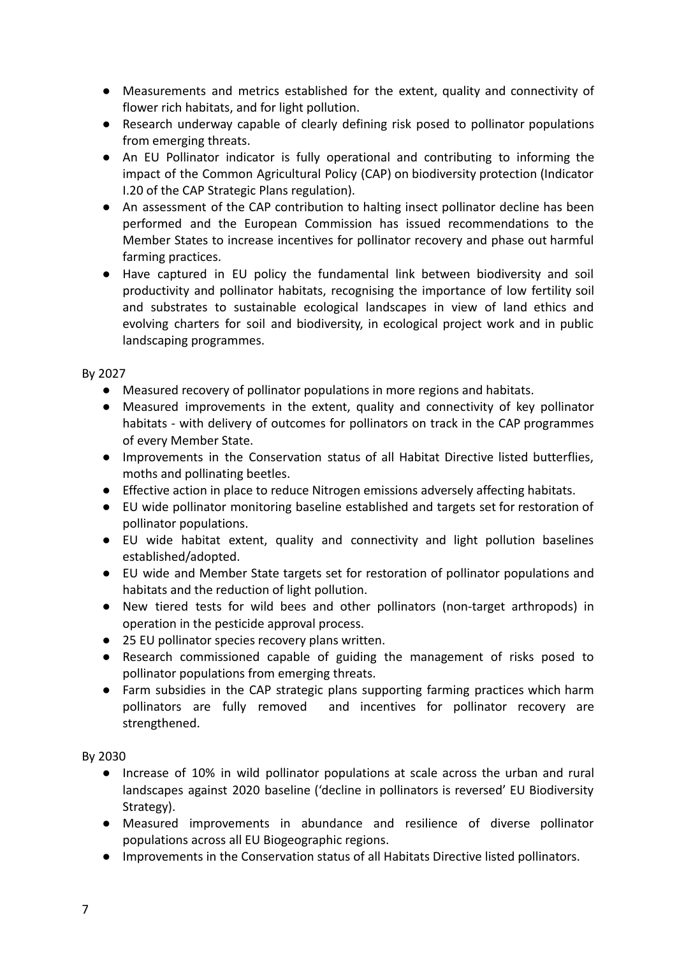- Measurements and metrics established for the extent, quality and connectivity of flower rich habitats, and for light pollution.
- Research underway capable of clearly defining risk posed to pollinator populations from emerging threats.
- An EU Pollinator indicator is fully operational and contributing to informing the impact of the Common Agricultural Policy (CAP) on biodiversity protection (Indicator I.20 of the CAP Strategic Plans regulation).
- An assessment of the CAP contribution to halting insect pollinator decline has been performed and the European Commission has issued recommendations to the Member States to increase incentives for pollinator recovery and phase out harmful farming practices.
- Have captured in EU policy the fundamental link between biodiversity and soil productivity and pollinator habitats, recognising the importance of low fertility soil and substrates to sustainable ecological landscapes in view of land ethics and evolving charters for soil and biodiversity, in ecological project work and in public landscaping programmes.

#### By 2027

- Measured recovery of pollinator populations in more regions and habitats.
- Measured improvements in the extent, quality and connectivity of key pollinator habitats - with delivery of outcomes for pollinators on track in the CAP programmes of every Member State.
- Improvements in the Conservation status of all Habitat Directive listed butterflies, moths and pollinating beetles.
- Effective action in place to reduce Nitrogen emissions adversely affecting habitats.
- EU wide pollinator monitoring baseline established and targets set for restoration of pollinator populations.
- EU wide habitat extent, quality and connectivity and light pollution baselines established/adopted.
- EU wide and Member State targets set for restoration of pollinator populations and habitats and the reduction of light pollution.
- New tiered tests for wild bees and other pollinators (non-target arthropods) in operation in the pesticide approval process.
- 25 EU pollinator species recovery plans written.
- Research commissioned capable of guiding the management of risks posed to pollinator populations from emerging threats.
- Farm subsidies in the CAP strategic plans supporting farming practices which harm pollinators are fully removed and incentives for pollinator recovery are strengthened.

By 2030

- Increase of 10% in wild pollinator populations at scale across the urban and rural landscapes against 2020 baseline ('decline in pollinators is reversed' EU Biodiversity Strategy).
- Measured improvements in abundance and resilience of diverse pollinator populations across all EU Biogeographic regions.
- Improvements in the Conservation status of all Habitats Directive listed pollinators.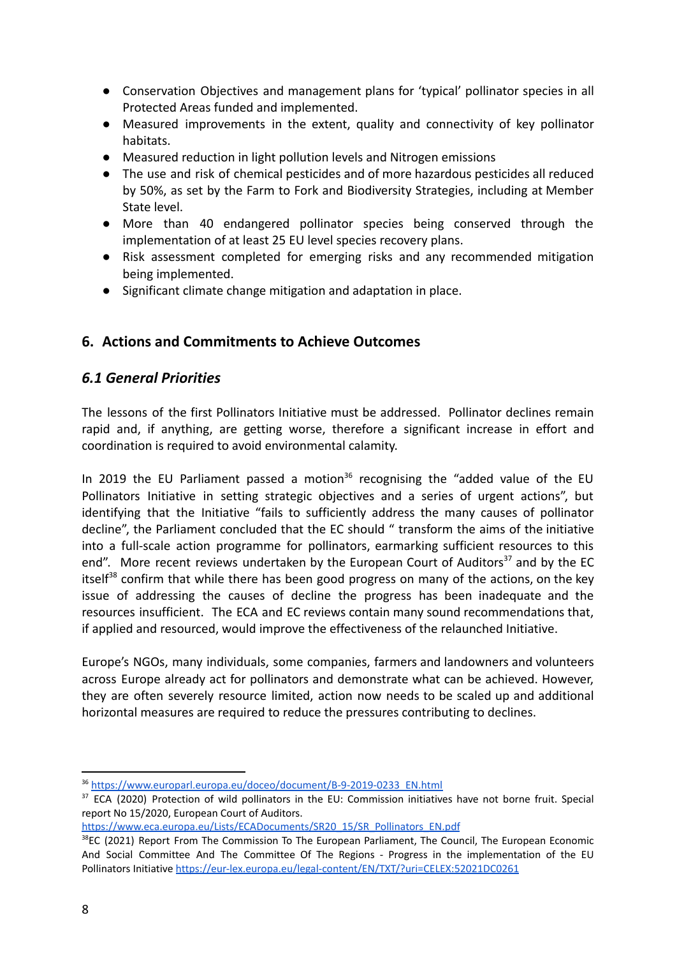- Conservation Objectives and management plans for 'typical' pollinator species in all Protected Areas funded and implemented.
- Measured improvements in the extent, quality and connectivity of key pollinator habitats.
- Measured reduction in light pollution levels and Nitrogen emissions
- The use and risk of chemical pesticides and of more hazardous pesticides all reduced by 50%, as set by the Farm to Fork and Biodiversity Strategies, including at Member State level.
- More than 40 endangered pollinator species being conserved through the implementation of at least 25 EU level species recovery plans.
- Risk assessment completed for emerging risks and any recommended mitigation being implemented.
- Significant climate change mitigation and adaptation in place.

### **6. Actions and Commitments to Achieve Outcomes**

### *6.1 General Priorities*

The lessons of the first Pollinators Initiative must be addressed. Pollinator declines remain rapid and, if anything, are getting worse, therefore a significant increase in effort and coordination is required to avoid environmental calamity.

In 2019 the EU Parliament passed a motion<sup>36</sup> recognising the "added value of the EU Pollinators Initiative in setting strategic objectives and a series of urgent actions", but identifying that the Initiative "fails to sufficiently address the many causes of pollinator decline", the Parliament concluded that the EC should " transform the aims of the initiative into a full-scale action programme for pollinators, earmarking sufficient resources to this end". More recent reviews undertaken by the European Court of Auditors<sup>37</sup> and by the EC itself<sup>38</sup> confirm that while there has been good progress on many of the actions, on the key issue of addressing the causes of decline the progress has been inadequate and the resources insufficient. The ECA and EC reviews contain many sound recommendations that, if applied and resourced, would improve the effectiveness of the relaunched Initiative.

Europe's NGOs, many individuals, some companies, farmers and landowners and volunteers across Europe already act for pollinators and demonstrate what can be achieved. However, they are often severely resource limited, action now needs to be scaled up and additional horizontal measures are required to reduce the pressures contributing to declines.

[https://www.eca.europa.eu/Lists/ECADocuments/SR20\\_15/SR\\_Pollinators\\_EN.pdf](https://www.eca.europa.eu/Lists/ECADocuments/SR20_15/SR_Pollinators_EN.pdf)

<sup>36</sup> [https://www.europarl.europa.eu/doceo/document/B-9-2019-0233\\_EN.html](https://www.europarl.europa.eu/doceo/document/B-9-2019-0233_EN.html)

<sup>&</sup>lt;sup>37</sup> ECA (2020) Protection of wild pollinators in the EU: Commission initiatives have not borne fruit. Special report No 15/2020, European Court of Auditors.

<sup>&</sup>lt;sup>38</sup>EC (2021) Report From The Commission To The European Parliament, The Council, The European Economic And Social Committee And The Committee Of The Regions - Progress in the implementation of the EU Pollinators Initiative <https://eur-lex.europa.eu/legal-content/EN/TXT/?uri=CELEX:52021DC0261>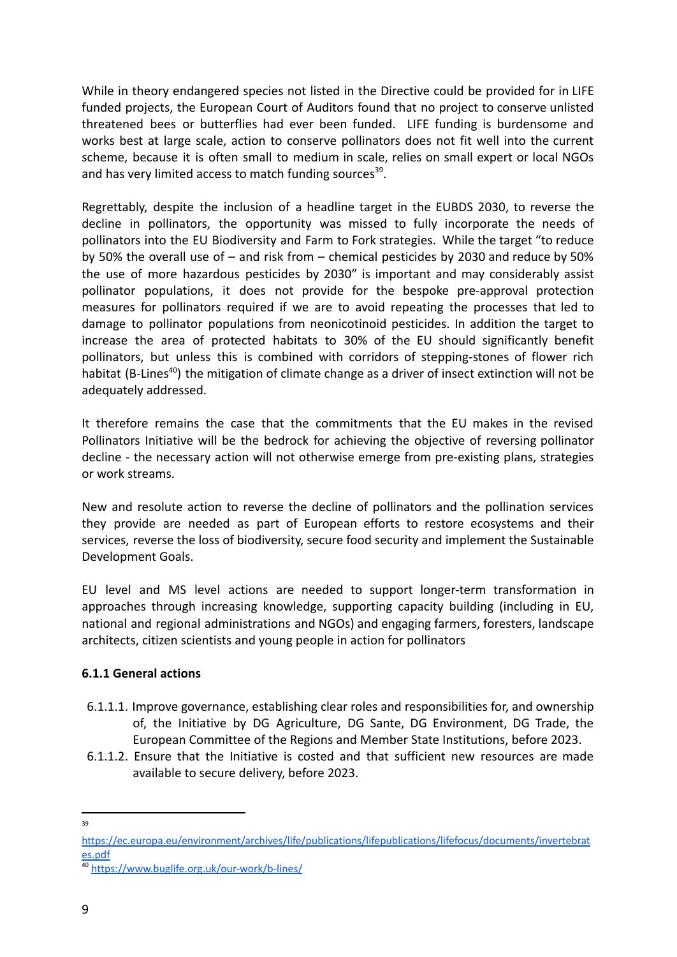While in theory endangered species not listed in the Directive could be provided for in LIFE funded projects, the European Court of Auditors found that no project to conserve unlisted threatened bees or butterflies had ever been funded. LIFE funding is burdensome and works best at large scale, action to conserve pollinators does not fit well into the current scheme, because it is often small to medium in scale, relies on small expert or local NGOs and has very limited access to match funding sources<sup>39</sup>.

Regrettably, despite the inclusion of a headline target in the EUBDS 2030, to reverse the decline in pollinators, the opportunity was missed to fully incorporate the needs of pollinators into the EU Biodiversity and Farm to Fork strategies. While the target "to reduce by 50% the overall use of – and risk from – chemical pesticides by 2030 and reduce by 50% the use of more hazardous pesticides by 2030" is important and may considerably assist pollinator populations, it does not provide for the bespoke pre-approval protection measures for pollinators required if we are to avoid repeating the processes that led to damage to pollinator populations from neonicotinoid pesticides. In addition the target to increase the area of protected habitats to 30% of the EU should significantly benefit pollinators, but unless this is combined with corridors of stepping-stones of flower rich habitat (B-Lines<sup>40</sup>) the mitigation of climate change as a driver of insect extinction will not be adequately addressed.

It therefore remains the case that the commitments that the EU makes in the revised Pollinators Initiative will be the bedrock for achieving the objective of reversing pollinator decline - the necessary action will not otherwise emerge from pre-existing plans, strategies or work streams.

New and resolute action to reverse the decline of pollinators and the pollination services they provide are needed as part of European efforts to restore ecosystems and their services, reverse the loss of biodiversity, secure food security and implement the Sustainable Development Goals.

EU level and MS level actions are needed to support longer-term transformation in approaches through increasing knowledge, supporting capacity building (including in EU, national and regional administrations and NGOs) and engaging farmers, foresters, landscape architects, citizen scientists and young people in action for pollinators

#### **6.1.1 General actions**

- 6.1.1.1. Improve governance, establishing clear roles and responsibilities for, and ownership of, the Initiative by DG Agriculture, DG Sante, DG Environment, DG Trade, the European Committee of the Regions and Member State Institutions, before 2023.
- 6.1.1.2. Ensure that the Initiative is costed and that sufficient new resources are made available to secure delivery, before 2023.
- 39

[https://ec.europa.eu/environment/archives/life/publications/lifepublications/lifefocus/documents/invertebrat](https://ec.europa.eu/environment/archives/life/publications/lifepublications/lifefocus/documents/invertebrates.pdf) [es.pdf](https://ec.europa.eu/environment/archives/life/publications/lifepublications/lifefocus/documents/invertebrates.pdf)

<sup>40</sup> <https://www.buglife.org.uk/our-work/b-lines/>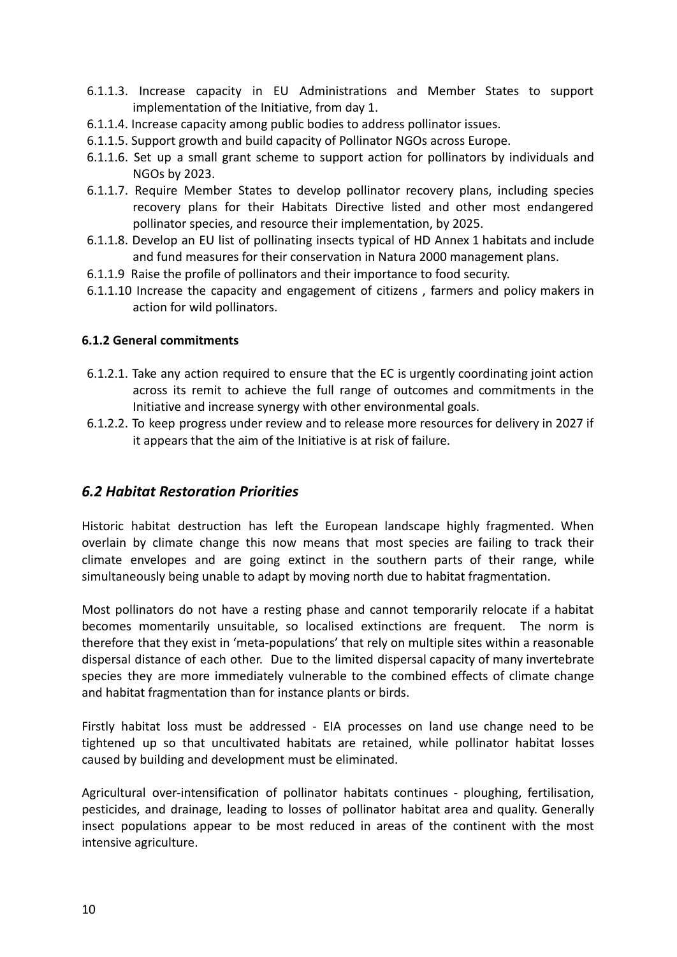- 6.1.1.3. Increase capacity in EU Administrations and Member States to support implementation of the Initiative, from day 1.
- 6.1.1.4. Increase capacity among public bodies to address pollinator issues.
- 6.1.1.5. Support growth and build capacity of Pollinator NGOs across Europe.
- 6.1.1.6. Set up a small grant scheme to support action for pollinators by individuals and NGOs by 2023.
- 6.1.1.7. Require Member States to develop pollinator recovery plans, including species recovery plans for their Habitats Directive listed and other most endangered pollinator species, and resource their implementation, by 2025.
- 6.1.1.8. Develop an EU list of pollinating insects typical of HD Annex 1 habitats and include and fund measures for their conservation in Natura 2000 management plans.
- 6.1.1.9 Raise the profile of pollinators and their importance to food security.
- 6.1.1.10 Increase the capacity and engagement of citizens , farmers and policy makers in action for wild pollinators.

#### **6.1.2 General commitments**

- 6.1.2.1. Take any action required to ensure that the EC is urgently coordinating joint action across its remit to achieve the full range of outcomes and commitments in the Initiative and increase synergy with other environmental goals.
- 6.1.2.2. To keep progress under review and to release more resources for delivery in 2027 if it appears that the aim of the Initiative is at risk of failure.

### *6.2 Habitat Restoration Priorities*

Historic habitat destruction has left the European landscape highly fragmented. When overlain by climate change this now means that most species are failing to track their climate envelopes and are going extinct in the southern parts of their range, while simultaneously being unable to adapt by moving north due to habitat fragmentation.

Most pollinators do not have a resting phase and cannot temporarily relocate if a habitat becomes momentarily unsuitable, so localised extinctions are frequent. The norm is therefore that they exist in 'meta-populations' that rely on multiple sites within a reasonable dispersal distance of each other. Due to the limited dispersal capacity of many invertebrate species they are more immediately vulnerable to the combined effects of climate change and habitat fragmentation than for instance plants or birds.

Firstly habitat loss must be addressed - EIA processes on land use change need to be tightened up so that uncultivated habitats are retained, while pollinator habitat losses caused by building and development must be eliminated.

Agricultural over-intensification of pollinator habitats continues - ploughing, fertilisation, pesticides, and drainage, leading to losses of pollinator habitat area and quality. Generally insect populations appear to be most reduced in areas of the continent with the most intensive agriculture.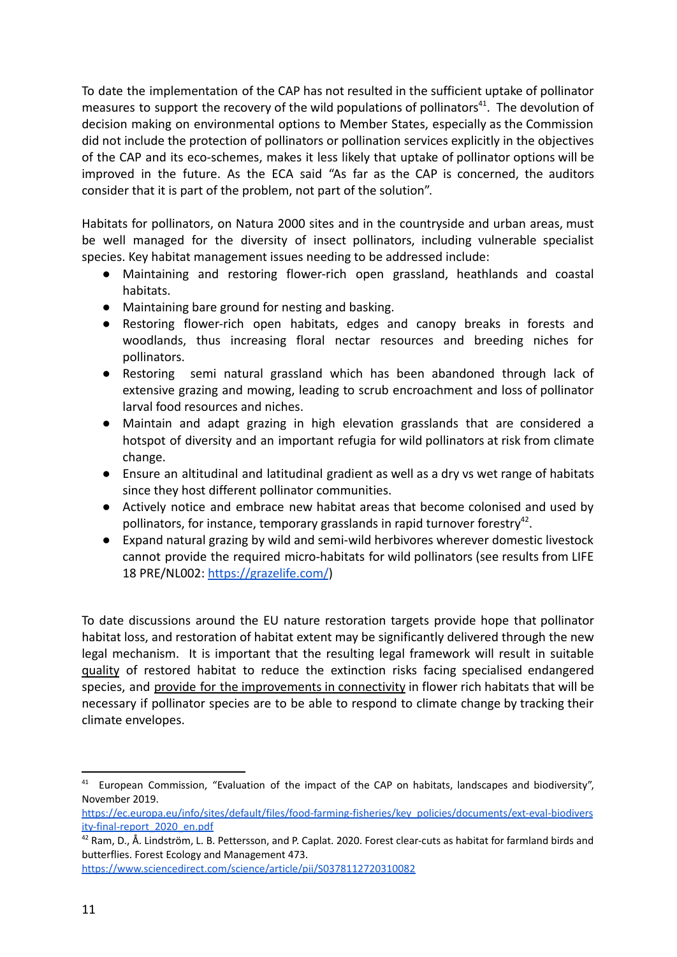To date the implementation of the CAP has not resulted in the sufficient uptake of pollinator measures to support the recovery of the wild populations of pollinators<sup>41</sup>. The devolution of decision making on environmental options to Member States, especially as the Commission did not include the protection of pollinators or pollination services explicitly in the objectives of the CAP and its eco-schemes, makes it less likely that uptake of pollinator options will be improved in the future. As the ECA said "As far as the CAP is concerned, the auditors consider that it is part of the problem, not part of the solution".

Habitats for pollinators, on Natura 2000 sites and in the countryside and urban areas, must be well managed for the diversity of insect pollinators, including vulnerable specialist species. Key habitat management issues needing to be addressed include:

- Maintaining and restoring flower-rich open grassland, heathlands and coastal habitats.
- Maintaining bare ground for nesting and basking.
- Restoring flower-rich open habitats, edges and canopy breaks in forests and woodlands, thus increasing floral nectar resources and breeding niches for pollinators.
- Restoring semi natural grassland which has been abandoned through lack of extensive grazing and mowing, leading to scrub encroachment and loss of pollinator larval food resources and niches.
- Maintain and adapt grazing in high elevation grasslands that are considered a hotspot of diversity and an important refugia for wild pollinators at risk from climate change.
- Ensure an altitudinal and latitudinal gradient as well as a dry vs wet range of habitats since they host different pollinator communities.
- Actively notice and embrace new habitat areas that become colonised and used by pollinators, for instance, temporary grasslands in rapid turnover forestry<sup>42</sup>.
- Expand natural grazing by wild and semi-wild herbivores wherever domestic livestock cannot provide the required micro-habitats for wild pollinators (see results from LIFE 18 PRE/NL002: <https://grazelife.com/>)

To date discussions around the EU nature restoration targets provide hope that pollinator habitat loss, and restoration of habitat extent may be significantly delivered through the new legal mechanism. It is important that the resulting legal framework will result in suitable quality of restored habitat to reduce the extinction risks facing specialised endangered species, and provide for the improvements in connectivity in flower rich habitats that will be necessary if pollinator species are to be able to respond to climate change by tracking their climate envelopes.

<https://www.sciencedirect.com/science/article/pii/S0378112720310082>

<sup>&</sup>lt;sup>41</sup> European Commission, "Evaluation of the impact of the CAP on habitats, landscapes and biodiversity", November 2019.

[https://ec.europa.eu/info/sites/default/files/food-farming-fisheries/key\\_policies/documents/ext-eval-biodivers](https://ec.europa.eu/info/sites/default/files/food-farming-fisheries/key_policies/documents/ext-eval-biodiversity-final-report_2020_en.pdf) [ity-final-report\\_2020\\_en.pdf](https://ec.europa.eu/info/sites/default/files/food-farming-fisheries/key_policies/documents/ext-eval-biodiversity-final-report_2020_en.pdf)

<sup>&</sup>lt;sup>42</sup> Ram, D., Å. Lindström, L. B. Pettersson, and P. Caplat. 2020. Forest clear-cuts as habitat for farmland birds and butterflies. Forest Ecology and Management 473.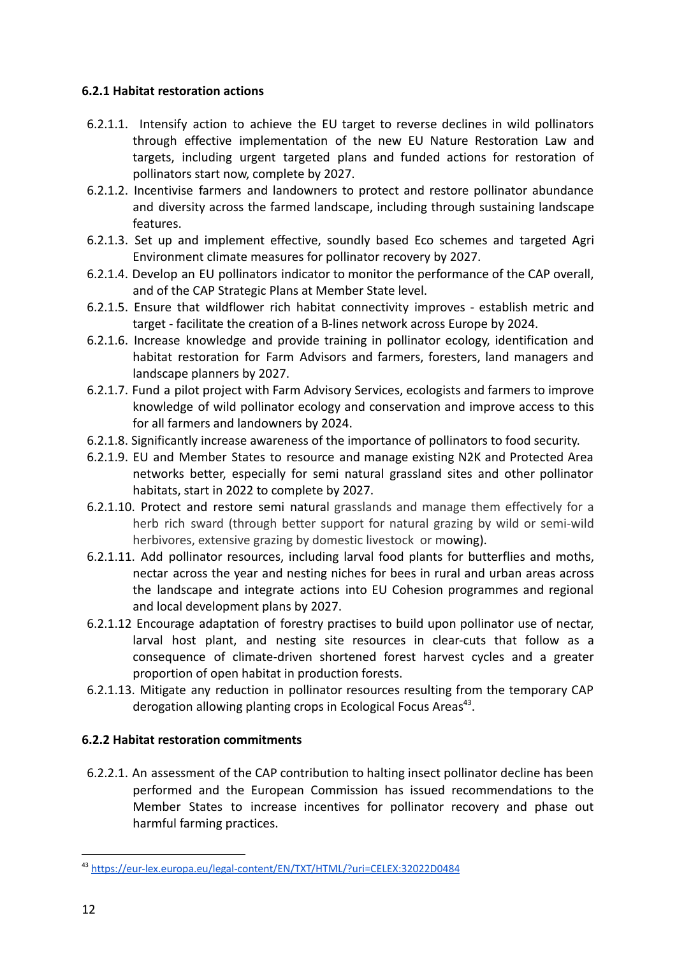### **6.2.1 Habitat restoration actions**

- 6.2.1.1. Intensify action to achieve the EU target to reverse declines in wild pollinators through effective implementation of the new EU Nature Restoration Law and targets, including urgent targeted plans and funded actions for restoration of pollinators start now, complete by 2027.
- 6.2.1.2. Incentivise farmers and landowners to protect and restore pollinator abundance and diversity across the farmed landscape, including through sustaining landscape features.
- 6.2.1.3. Set up and implement effective, soundly based Eco schemes and targeted Agri Environment climate measures for pollinator recovery by 2027.
- 6.2.1.4. Develop an EU pollinators indicator to monitor the performance of the CAP overall, and of the CAP Strategic Plans at Member State level.
- 6.2.1.5. Ensure that wildflower rich habitat connectivity improves establish metric and target - facilitate the creation of a B-lines network across Europe by 2024.
- 6.2.1.6. Increase knowledge and provide training in pollinator ecology, identification and habitat restoration for Farm Advisors and farmers, foresters, land managers and landscape planners by 2027.
- 6.2.1.7. Fund a pilot project with Farm Advisory Services, ecologists and farmers to improve knowledge of wild pollinator ecology and conservation and improve access to this for all farmers and landowners by 2024.
- 6.2.1.8. Significantly increase awareness of the importance of pollinators to food security.
- 6.2.1.9. EU and Member States to resource and manage existing N2K and Protected Area networks better, especially for semi natural grassland sites and other pollinator habitats, start in 2022 to complete by 2027.
- 6.2.1.10. Protect and restore semi natural grasslands and manage them effectively for a herb rich sward (through better support for natural grazing by wild or semi-wild herbivores, extensive grazing by domestic livestock or mowing).
- 6.2.1.11. Add pollinator resources, including larval food plants for butterflies and moths, nectar across the year and nesting niches for bees in rural and urban areas across the landscape and integrate actions into EU Cohesion programmes and regional and local development plans by 2027.
- 6.2.1.12 Encourage adaptation of forestry practises to build upon pollinator use of nectar, larval host plant, and nesting site resources in clear-cuts that follow as a consequence of climate-driven shortened forest harvest cycles and a greater proportion of open habitat in production forests.
- 6.2.1.13. Mitigate any reduction in pollinator resources resulting from the temporary CAP derogation allowing planting crops in Ecological Focus Areas<sup>43</sup>.

### **6.2.2 Habitat restoration commitments**

6.2.2.1. An assessment of the CAP contribution to halting insect pollinator decline has been performed and the European Commission has issued recommendations to the Member States to increase incentives for pollinator recovery and phase out harmful farming practices.

<sup>43</sup> <https://eur-lex.europa.eu/legal-content/EN/TXT/HTML/?uri=CELEX:32022D0484>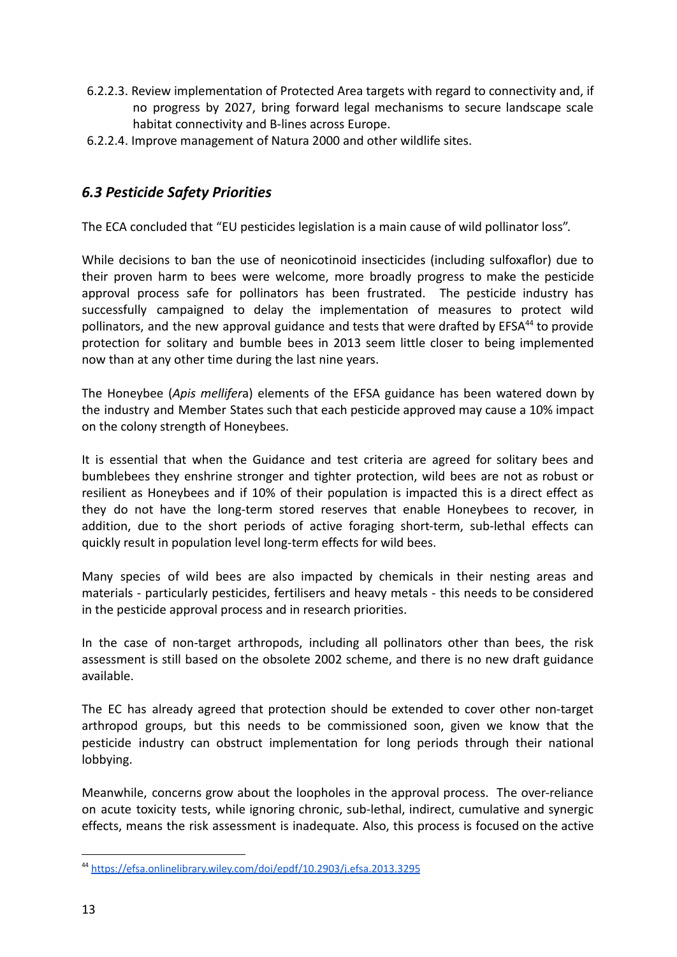- 6.2.2.3. Review implementation of Protected Area targets with regard to connectivity and, if no progress by 2027, bring forward legal mechanisms to secure landscape scale habitat connectivity and B-lines across Europe.
- 6.2.2.4. Improve management of Natura 2000 and other wildlife sites.

### *6.3 Pesticide Safety Priorities*

The ECA concluded that "EU pesticides legislation is a main cause of wild pollinator loss".

While decisions to ban the use of neonicotinoid insecticides (including sulfoxaflor) due to their proven harm to bees were welcome, more broadly progress to make the pesticide approval process safe for pollinators has been frustrated. The pesticide industry has successfully campaigned to delay the implementation of measures to protect wild pollinators, and the new approval guidance and tests that were drafted by EFSA<sup>44</sup> to provide protection for solitary and bumble bees in 2013 seem little closer to being implemented now than at any other time during the last nine years.

The Honeybee (*Apis mellifer*a) elements of the EFSA guidance has been watered down by the industry and Member States such that each pesticide approved may cause a 10% impact on the colony strength of Honeybees.

It is essential that when the Guidance and test criteria are agreed for solitary bees and bumblebees they enshrine stronger and tighter protection, wild bees are not as robust or resilient as Honeybees and if 10% of their population is impacted this is a direct effect as they do not have the long-term stored reserves that enable Honeybees to recover, in addition, due to the short periods of active foraging short-term, sub-lethal effects can quickly result in population level long-term effects for wild bees.

Many species of wild bees are also impacted by chemicals in their nesting areas and materials - particularly pesticides, fertilisers and heavy metals - this needs to be considered in the pesticide approval process and in research priorities.

In the case of non-target arthropods, including all pollinators other than bees, the risk assessment is still based on the obsolete 2002 scheme, and there is no new draft guidance available.

The EC has already agreed that protection should be extended to cover other non-target arthropod groups, but this needs to be commissioned soon, given we know that the pesticide industry can obstruct implementation for long periods through their national lobbying.

Meanwhile, concerns grow about the loopholes in the approval process. The over-reliance on acute toxicity tests, while ignoring chronic, sub-lethal, indirect, cumulative and synergic effects, means the risk assessment is inadequate. Also, this process is focused on the active

<sup>44</sup> <https://efsa.onlinelibrary.wiley.com/doi/epdf/10.2903/j.efsa.2013.3295>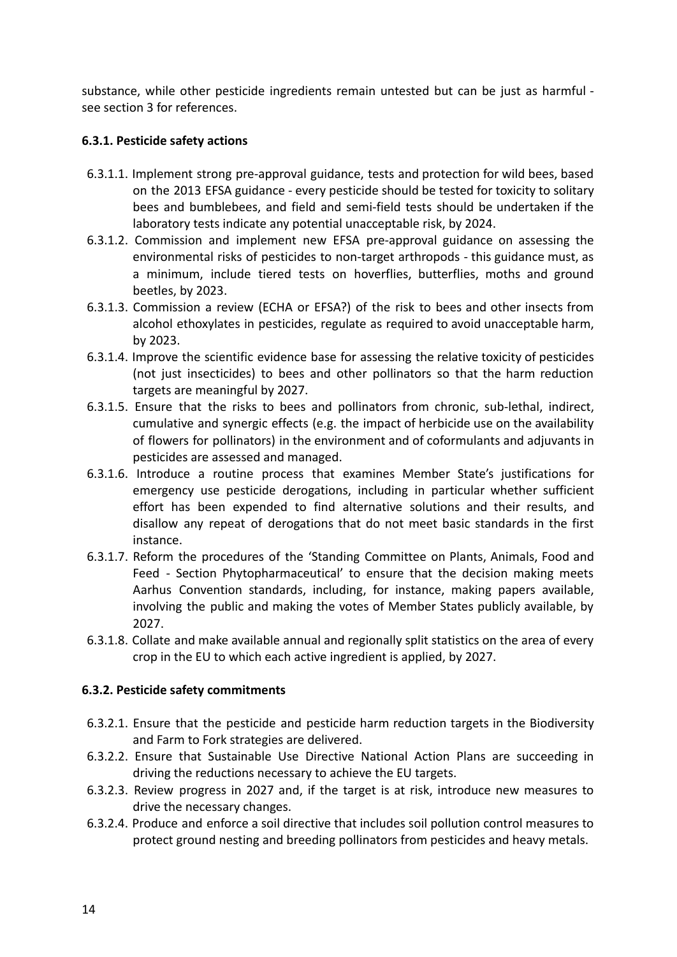substance, while other pesticide ingredients remain untested but can be just as harmful see section 3 for references.

### **6.3.1. Pesticide safety actions**

- 6.3.1.1. Implement strong pre-approval guidance, tests and protection for wild bees, based on the 2013 EFSA guidance - every pesticide should be tested for toxicity to solitary bees and bumblebees, and field and semi-field tests should be undertaken if the laboratory tests indicate any potential unacceptable risk, by 2024.
- 6.3.1.2. Commission and implement new EFSA pre-approval guidance on assessing the environmental risks of pesticides to non-target arthropods - this guidance must, as a minimum, include tiered tests on hoverflies, butterflies, moths and ground beetles, by 2023.
- 6.3.1.3. Commission a review (ECHA or EFSA?) of the risk to bees and other insects from alcohol ethoxylates in pesticides, regulate as required to avoid unacceptable harm, by 2023.
- 6.3.1.4. Improve the scientific evidence base for assessing the relative toxicity of pesticides (not just insecticides) to bees and other pollinators so that the harm reduction targets are meaningful by 2027.
- 6.3.1.5. Ensure that the risks to bees and pollinators from chronic, sub-lethal, indirect, cumulative and synergic effects (e.g. the impact of herbicide use on the availability of flowers for pollinators) in the environment and of coformulants and adjuvants in pesticides are assessed and managed.
- 6.3.1.6. Introduce a routine process that examines Member State's justifications for emergency use pesticide derogations, including in particular whether sufficient effort has been expended to find alternative solutions and their results, and disallow any repeat of derogations that do not meet basic standards in the first instance.
- 6.3.1.7. Reform the procedures of the 'Standing Committee on Plants, Animals, Food and Feed - Section Phytopharmaceutical' to ensure that the decision making meets Aarhus Convention standards, including, for instance, making papers available, involving the public and making the votes of Member States publicly available, by 2027.
- 6.3.1.8. Collate and make available annual and regionally split statistics on the area of every crop in the EU to which each active ingredient is applied, by 2027.

#### **6.3.2. Pesticide safety commitments**

- 6.3.2.1. Ensure that the pesticide and pesticide harm reduction targets in the Biodiversity and Farm to Fork strategies are delivered.
- 6.3.2.2. Ensure that Sustainable Use Directive National Action Plans are succeeding in driving the reductions necessary to achieve the EU targets.
- 6.3.2.3. Review progress in 2027 and, if the target is at risk, introduce new measures to drive the necessary changes.
- 6.3.2.4. Produce and enforce a soil directive that includes soil pollution control measures to protect ground nesting and breeding pollinators from pesticides and heavy metals.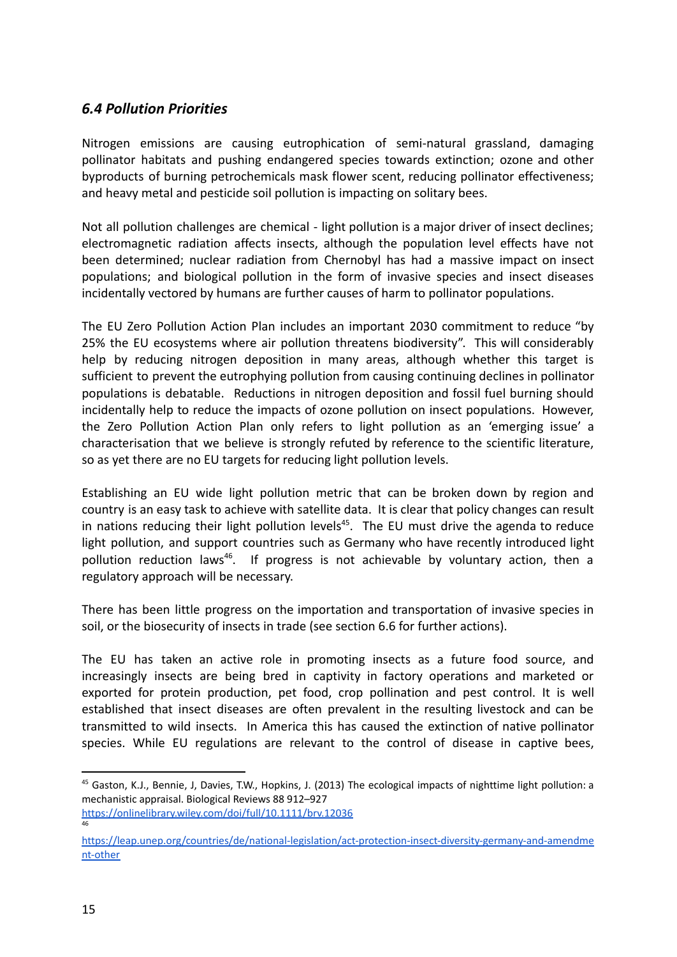### *6.4 Pollution Priorities*

Nitrogen emissions are causing eutrophication of semi-natural grassland, damaging pollinator habitats and pushing endangered species towards extinction; ozone and other byproducts of burning petrochemicals mask flower scent, reducing pollinator effectiveness; and heavy metal and pesticide soil pollution is impacting on solitary bees.

Not all pollution challenges are chemical - light pollution is a major driver of insect declines; electromagnetic radiation affects insects, although the population level effects have not been determined; nuclear radiation from Chernobyl has had a massive impact on insect populations; and biological pollution in the form of invasive species and insect diseases incidentally vectored by humans are further causes of harm to pollinator populations.

The EU Zero Pollution Action Plan includes an important 2030 commitment to reduce "by 25% the EU ecosystems where air pollution threatens biodiversity". This will considerably help by reducing nitrogen deposition in many areas, although whether this target is sufficient to prevent the eutrophying pollution from causing continuing declines in pollinator populations is debatable. Reductions in nitrogen deposition and fossil fuel burning should incidentally help to reduce the impacts of ozone pollution on insect populations. However, the Zero Pollution Action Plan only refers to light pollution as an 'emerging issue' a characterisation that we believe is strongly refuted by reference to the scientific literature, so as yet there are no EU targets for reducing light pollution levels.

Establishing an EU wide light pollution metric that can be broken down by region and country is an easy task to achieve with satellite data. It is clear that policy changes can result in nations reducing their light pollution levels<sup>45</sup>. The EU must drive the agenda to reduce light pollution, and support countries such as Germany who have recently introduced light pollution reduction laws<sup>46</sup>. If progress is not achievable by voluntary action, then a regulatory approach will be necessary.

There has been little progress on the importation and transportation of invasive species in soil, or the biosecurity of insects in trade (see section 6.6 for further actions).

The EU has taken an active role in promoting insects as a future food source, and increasingly insects are being bred in captivity in factory operations and marketed or exported for protein production, pet food, crop pollination and pest control. It is well established that insect diseases are often prevalent in the resulting livestock and can be transmitted to wild insects. In America this has caused the extinction of native pollinator species. While EU regulations are relevant to the control of disease in captive bees,

<sup>&</sup>lt;sup>45</sup> Gaston, K.J., Bennie, J, Davies, T.W., Hopkins, J. (2013) The ecological impacts of nighttime light pollution: a mechanistic appraisal. Biological Reviews 88 912–927

<sup>46</sup> <https://onlinelibrary.wiley.com/doi/full/10.1111/brv.12036>

[https://leap.unep.org/countries/de/national-legislation/act-protection-insect-diversity-germany-and-amendme](https://leap.unep.org/countries/de/national-legislation/act-protection-insect-diversity-germany-and-amendment-other) [nt-other](https://leap.unep.org/countries/de/national-legislation/act-protection-insect-diversity-germany-and-amendment-other)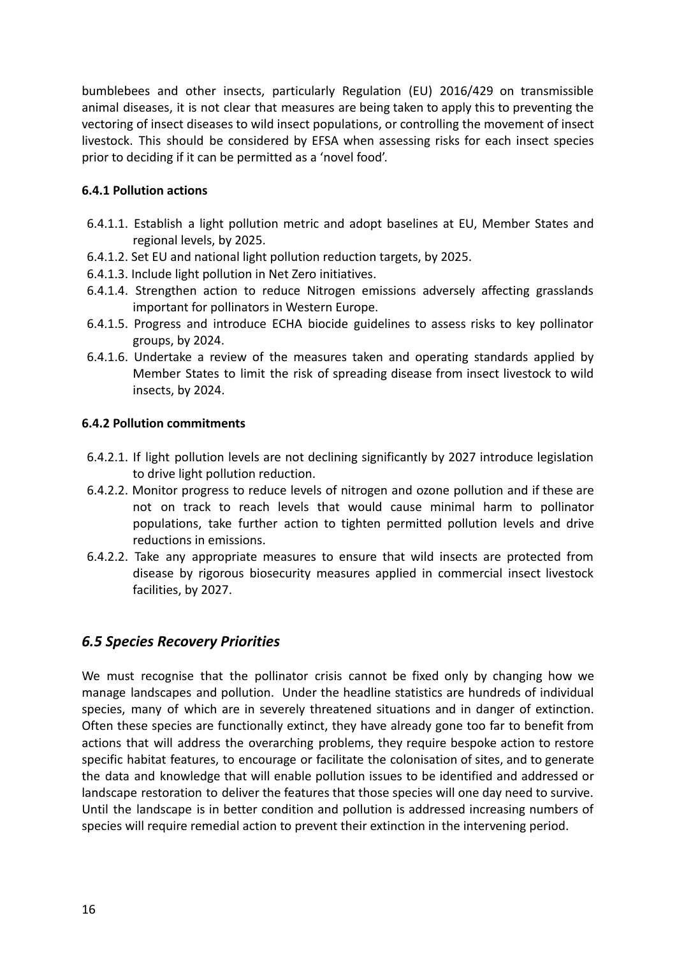bumblebees and other insects, particularly Regulation (EU) 2016/429 on transmissible animal diseases, it is not clear that measures are being taken to apply this to preventing the vectoring of insect diseases to wild insect populations, or controlling the movement of insect livestock. This should be considered by EFSA when assessing risks for each insect species prior to deciding if it can be permitted as a 'novel food'.

### **6.4.1 Pollution actions**

- 6.4.1.1. Establish a light pollution metric and adopt baselines at EU, Member States and regional levels, by 2025.
- 6.4.1.2. Set EU and national light pollution reduction targets, by 2025.
- 6.4.1.3. Include light pollution in Net Zero initiatives.
- 6.4.1.4. Strengthen action to reduce Nitrogen emissions adversely affecting grasslands important for pollinators in Western Europe.
- 6.4.1.5. Progress and introduce ECHA biocide guidelines to assess risks to key pollinator groups, by 2024.
- 6.4.1.6. Undertake a review of the measures taken and operating standards applied by Member States to limit the risk of spreading disease from insect livestock to wild insects, by 2024.

#### **6.4.2 Pollution commitments**

- 6.4.2.1. If light pollution levels are not declining significantly by 2027 introduce legislation to drive light pollution reduction.
- 6.4.2.2. Monitor progress to reduce levels of nitrogen and ozone pollution and if these are not on track to reach levels that would cause minimal harm to pollinator populations, take further action to tighten permitted pollution levels and drive reductions in emissions.
- 6.4.2.2. Take any appropriate measures to ensure that wild insects are protected from disease by rigorous biosecurity measures applied in commercial insect livestock facilities, by 2027.

### *6.5 Species Recovery Priorities*

We must recognise that the pollinator crisis cannot be fixed only by changing how we manage landscapes and pollution. Under the headline statistics are hundreds of individual species, many of which are in severely threatened situations and in danger of extinction. Often these species are functionally extinct, they have already gone too far to benefit from actions that will address the overarching problems, they require bespoke action to restore specific habitat features, to encourage or facilitate the colonisation of sites, and to generate the data and knowledge that will enable pollution issues to be identified and addressed or landscape restoration to deliver the features that those species will one day need to survive. Until the landscape is in better condition and pollution is addressed increasing numbers of species will require remedial action to prevent their extinction in the intervening period.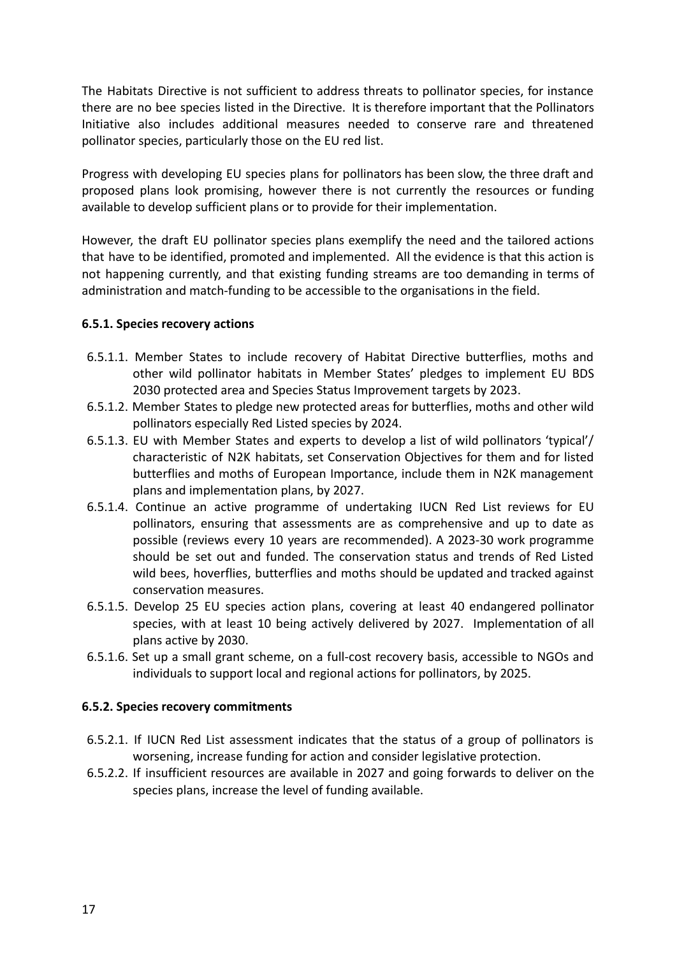The Habitats Directive is not sufficient to address threats to pollinator species, for instance there are no bee species listed in the Directive. It is therefore important that the Pollinators Initiative also includes additional measures needed to conserve rare and threatened pollinator species, particularly those on the EU red list.

Progress with developing EU species plans for pollinators has been slow, the three draft and proposed plans look promising, however there is not currently the resources or funding available to develop sufficient plans or to provide for their implementation.

However, the draft EU pollinator species plans exemplify the need and the tailored actions that have to be identified, promoted and implemented. All the evidence is that this action is not happening currently, and that existing funding streams are too demanding in terms of administration and match-funding to be accessible to the organisations in the field.

#### **6.5.1. Species recovery actions**

- 6.5.1.1. Member States to include recovery of Habitat Directive butterflies, moths and other wild pollinator habitats in Member States' pledges to implement EU BDS 2030 protected area and Species Status Improvement targets by 2023.
- 6.5.1.2. Member States to pledge new protected areas for butterflies, moths and other wild pollinators especially Red Listed species by 2024.
- 6.5.1.3. EU with Member States and experts to develop a list of wild pollinators 'typical'/ characteristic of N2K habitats, set Conservation Objectives for them and for listed butterflies and moths of European Importance, include them in N2K management plans and implementation plans, by 2027.
- 6.5.1.4. Continue an active programme of undertaking IUCN Red List reviews for EU pollinators, ensuring that assessments are as comprehensive and up to date as possible (reviews every 10 years are recommended). A 2023-30 work programme should be set out and funded. The conservation status and trends of Red Listed wild bees, hoverflies, butterflies and moths should be updated and tracked against conservation measures.
- 6.5.1.5. Develop 25 EU species action plans, covering at least 40 endangered pollinator species, with at least 10 being actively delivered by 2027. Implementation of all plans active by 2030.
- 6.5.1.6. Set up a small grant scheme, on a full-cost recovery basis, accessible to NGOs and individuals to support local and regional actions for pollinators, by 2025.

#### **6.5.2. Species recovery commitments**

- 6.5.2.1. If IUCN Red List assessment indicates that the status of a group of pollinators is worsening, increase funding for action and consider legislative protection.
- 6.5.2.2. If insufficient resources are available in 2027 and going forwards to deliver on the species plans, increase the level of funding available.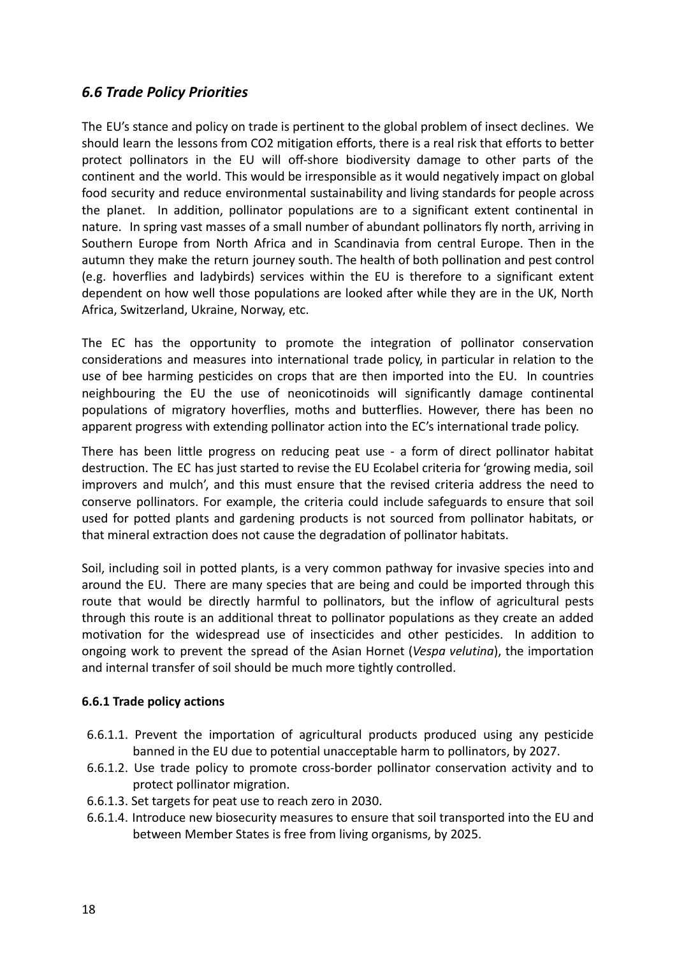### *6.6 Trade Policy Priorities*

The EU's stance and policy on trade is pertinent to the global problem of insect declines. We should learn the lessons from CO2 mitigation efforts, there is a real risk that efforts to better protect pollinators in the EU will off-shore biodiversity damage to other parts of the continent and the world. This would be irresponsible as it would negatively impact on global food security and reduce environmental sustainability and living standards for people across the planet. In addition, pollinator populations are to a significant extent continental in nature. In spring vast masses of a small number of abundant pollinators fly north, arriving in Southern Europe from North Africa and in Scandinavia from central Europe. Then in the autumn they make the return journey south. The health of both pollination and pest control (e.g. hoverflies and ladybirds) services within the EU is therefore to a significant extent dependent on how well those populations are looked after while they are in the UK, North Africa, Switzerland, Ukraine, Norway, etc.

The EC has the opportunity to promote the integration of pollinator conservation considerations and measures into international trade policy, in particular in relation to the use of bee harming pesticides on crops that are then imported into the EU. In countries neighbouring the EU the use of neonicotinoids will significantly damage continental populations of migratory hoverflies, moths and butterflies. However, there has been no apparent progress with extending pollinator action into the EC's international trade policy.

There has been little progress on reducing peat use - a form of direct pollinator habitat destruction. The EC has just started to revise the EU Ecolabel criteria for 'growing media, soil improvers and mulch', and this must ensure that the revised criteria address the need to conserve pollinators. For example, the criteria could include safeguards to ensure that soil used for potted plants and gardening products is not sourced from pollinator habitats, or that mineral extraction does not cause the degradation of pollinator habitats.

Soil, including soil in potted plants, is a very common pathway for invasive species into and around the EU. There are many species that are being and could be imported through this route that would be directly harmful to pollinators, but the inflow of agricultural pests through this route is an additional threat to pollinator populations as they create an added motivation for the widespread use of insecticides and other pesticides. In addition to ongoing work to prevent the spread of the Asian Hornet (*Vespa velutina*), the importation and internal transfer of soil should be much more tightly controlled.

#### **6.6.1 Trade policy actions**

- 6.6.1.1. Prevent the importation of agricultural products produced using any pesticide banned in the EU due to potential unacceptable harm to pollinators, by 2027.
- 6.6.1.2. Use trade policy to promote cross-border pollinator conservation activity and to protect pollinator migration.
- 6.6.1.3. Set targets for peat use to reach zero in 2030.
- 6.6.1.4. Introduce new biosecurity measures to ensure that soil transported into the EU and between Member States is free from living organisms, by 2025.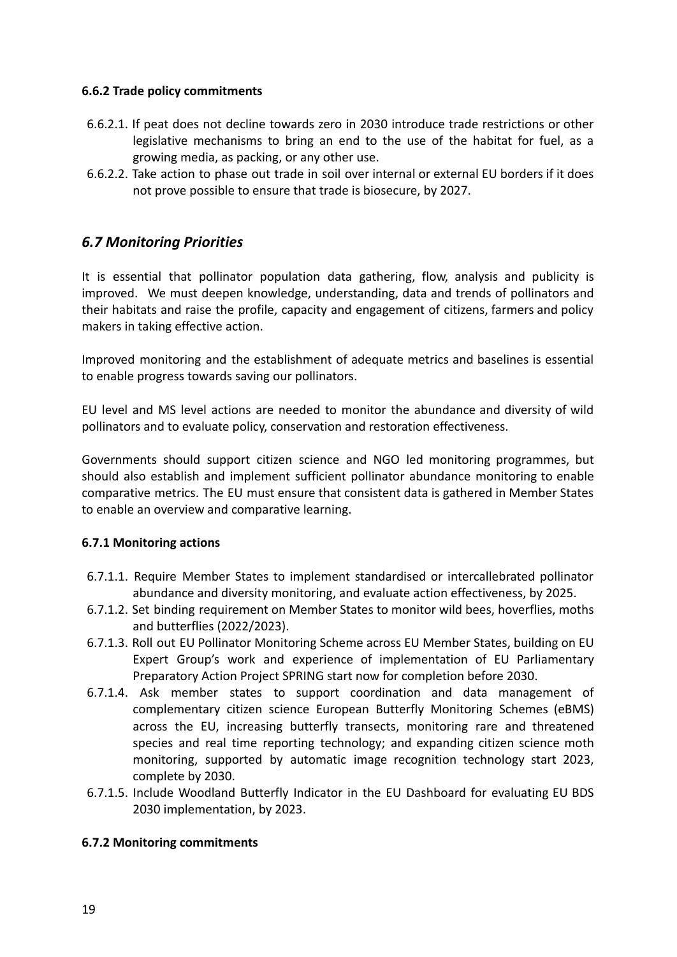#### **6.6.2 Trade policy commitments**

- 6.6.2.1. If peat does not decline towards zero in 2030 introduce trade restrictions or other legislative mechanisms to bring an end to the use of the habitat for fuel, as a growing media, as packing, or any other use.
- 6.6.2.2. Take action to phase out trade in soil over internal or external EU borders if it does not prove possible to ensure that trade is biosecure, by 2027.

### *6.7 Monitoring Priorities*

It is essential that pollinator population data gathering, flow, analysis and publicity is improved. We must deepen knowledge, understanding, data and trends of pollinators and their habitats and raise the profile, capacity and engagement of citizens, farmers and policy makers in taking effective action.

Improved monitoring and the establishment of adequate metrics and baselines is essential to enable progress towards saving our pollinators.

EU level and MS level actions are needed to monitor the abundance and diversity of wild pollinators and to evaluate policy, conservation and restoration effectiveness.

Governments should support citizen science and NGO led monitoring programmes, but should also establish and implement sufficient pollinator abundance monitoring to enable comparative metrics. The EU must ensure that consistent data is gathered in Member States to enable an overview and comparative learning.

### **6.7.1 Monitoring actions**

- 6.7.1.1. Require Member States to implement standardised or intercallebrated pollinator abundance and diversity monitoring, and evaluate action effectiveness, by 2025.
- 6.7.1.2. Set binding requirement on Member States to monitor wild bees, hoverflies, moths and butterflies (2022/2023).
- 6.7.1.3. Roll out EU Pollinator Monitoring Scheme across EU Member States, building on EU Expert Group's work and experience of implementation of EU Parliamentary Preparatory Action Project SPRING start now for completion before 2030.
- 6.7.1.4. Ask member states to support coordination and data management of complementary citizen science European Butterfly Monitoring Schemes (eBMS) across the EU, increasing butterfly transects, monitoring rare and threatened species and real time reporting technology; and expanding citizen science moth monitoring, supported by automatic image recognition technology start 2023, complete by 2030.
- 6.7.1.5. Include Woodland Butterfly Indicator in the EU Dashboard for evaluating EU BDS 2030 implementation, by 2023.

### **6.7.2 Monitoring commitments**